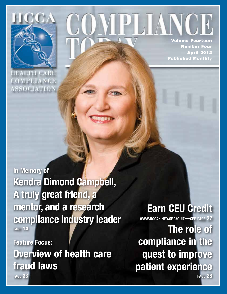

**HEALTH CARE** COMPLIANCE **ASSOCIATION**  Volume Fourteen

Number Four April 2012 Published Monthly

In Memory of Kendra Dimond Campbell, A truly great friend, a mentor, and a research compliance industry leader page 14

Feature Focus: Overview of health care fraud laws page 33

Earn CEU Credit

www.hcca-info.org/quiz—see page 27

The role of compliance in the quest to improve patient experience page 28

*April 2012*

*Health Care Compliance Association • 888-580-8373 • www.hcca-info.org 1*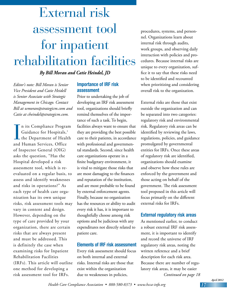# External risk assessment tool for inpatient rehabilitation facilities

*By Bill Moran and Catie Heindel, JD*

*Editor's note: Bill Moran is Senior Vice President and Catie Heidell is Senior Associate with Strategic Management in Chicago. Contact Bill at wmoran@strategicm.com and Catie at cheindel@strategicm.com.*

In its Compliance Progra.<br>
Guidance for Hospitals,<sup>1</sup><br>
the Department of Healt<br>
and Human Services, Office n its Compliance Program Guidance for Hospitals,<sup>1</sup> **L** the Department of Health of Inspector General (OIG) asks the question, "Has the Hospital developed a risk assessment tool, which is reevaluated on a regular basis, to assess and identify weaknesses and risks in operations?" As each type of health care organization has its own unique risks, risk assessment tools may vary in content and design. However, depending on the type of care provided by your organization, there are certain risks that are always present and must be addressed. This is definitely the case when examining risks for Inpatient Rehabilitation Facilities (IRFs). This article will outline one method for developing a risk assessment tool for IRFs.

## Importance of IRF risk assessment

Prior to undertaking the job of developing an IRF risk assessment tool, organizations should briefly remind themselves of the importance of such a task. To begin, facilities always want to ensure that they are providing the best possible care to their patients, in accordance with professional and governmental standards. Second, since health care organizations operate in a finite budgetary environment, it is vital to mitigate those risks that are most damaging to the finances and reputation of the institution, and are most probable to be found by external enforcement agents. Finally, because no organization has the resources or ability to audit every risk it has, it is important to thoughtfully choose among risk options and be judicious with any expenditures not directly related to patient care.

#### Elements of IRF risk assessment

Every risk assessment should focus on both internal and external risks. Internal risks are those that exist within the organization due to weaknesses in policies,

procedures, systems, and personnel. Organizations learn about internal risk through audits, work groups, and observing daily interaction with policies and procedures. Because internal risks are unique to every organization, suffice it to say that these risks need to be identified and recounted when prioritizing and considering overall risk to the organization.

External risks are those that exist outside the organization and can be separated into two categories: regulatory risk and environmental risk. Regulatory risk areas can be identified by reviewing the laws, regulations, policies, and guidance promulgated by governmental entities for IRFs. Once these areas of regulatory risk are identified, organizations should examine and observe how these rules are enforced by the government and those acting on behalf of the government. The risk assessment tool proposed in this article will focus primarily on the different external risks for IRFs.

### External regulatory risk areas

*Continued on page 18* As mentioned earlier, to conduct a robust external IRF risk assessment, it is important to identify and record the universe of IRF regulatory risk areas, noting the written reference and a brief description for each risk area. Because there are number of regulatory risk areas, it may be easier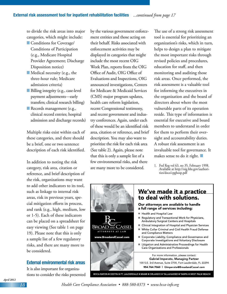to divide the risk areas into major categories, which might include:

- **n** Conditions for Coverage/ Conditions of Participation (e.g., Medicare Hospital Provider Agreement; Discharge Disposition notice)
- $\blacksquare$  Medical necessity (e.g., the three-hour rule; Medicare admission criteria)
- Billing integrity (e.g., case-level payment adjustments—early transfers; clinical research billing)
- Records management (e.g., clinical record entries; hospital admission and discharge records)

Multiple risks exist within each of these categories, and there should be a brief, one or two sentence description of each risk identified.

In addition to noting the risk category, risk area, citation or reference, and brief description of the risk, organizations may want to add other indicators to its tool, such as linkage to internal risk areas, risk in previous years, special mitigation efforts in process, and rank (e.g., high, medium, low or 1-5). Each of these indicators can be placed on a spreadsheet for easy viewing (See table 1 on page 19). Please note that this is only a sample list of a few regulatory risks, and there are many more to be considered.

#### External environmental risk areas

It is also important for organizations to consider the risks presented by the various government enforcement entities and those acting on their behalf. Risks associated with enforcement activities may be displayed in categories that might include the most recent OIG Work Plan, reports from the OIG Office of Audit, OIG Office of Evaluations and Inspections, OIG announced investigations, Centers for Medicare & Medicaid Services (CMS) major program updates, health care reform legislation, recent Congressional testimony, and recent government and industry conferences. Again, under each of these would be an identified risk area, citation or reference, and brief description. You may also want to prioritize the risk for each risk area (See table 2). Again, please note that this is only a sample list of a few environmental risks, and there are many more to be considered.

The use of a strong risk assessment tool is essential for prioritizing an organization's risks, which in turn, helps to design a plan to mitigate the most important risks through revised policies and procedures, education for staff, and then monitoring and auditing those risk areas. Once performed, the risk assessment is a valuable tool for informing the executives in the organization and the board of directors about where the most vulnerable parts of its operation reside. This type of information is essential for executive and board members to understand in order for them to perform their oversight and accountability duties. A robust risk assessment is an invaluable tool for governance. It makes sense to do it right.  $\blacksquare$ 

1. Fed Reg vol 63, no 35, February 1998. Available at http://oig.hhs.gov/authori ties/docs/cpghosp.pdf